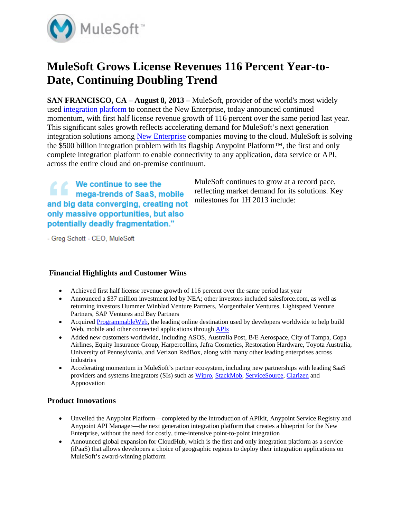

# **MuleSoft Grows License Revenues 116 Percent Year-to-Date, Continuing Doubling Trend**

**SAN FRANCISCO, CA – August 8, 2013 – MuleSoft, provider of the world's most widely** used integration platform to connect the New Enterprise, today announced continued momentum, with first half license revenue growth of 116 percent over the same period last year. This significant sales growth reflects accelerating demand for MuleSoft's next generation integration solutions among New Enterprise companies moving to the cloud. MuleSoft is solving the \$500 billion integration problem with its flagship Anypoint Platform™, the first and only complete integration platform to enable connectivity to any application, data service or API, across the entire cloud and on-premise continuum.

We continue to see the The we continue to see the<br>mega-trends of SaaS, mobile and big data converging, creating not only massive opportunities, but also potentially deadly fragmentation."

MuleSoft continues to grow at a record pace, reflecting market demand for its solutions. Key milestones for 1H 2013 include:

- Greg Schott - CEO, MuleSoft

## **Financial Highlights and Customer Wins**

- Achieved first half license revenue growth of 116 percent over the same period last year
- Announced a \$37 million investment led by NEA; other investors included salesforce.com, as well as returning investors Hummer Winblad Venture Partners, Morgenthaler Ventures, Lightspeed Venture Partners, SAP Ventures and Bay Partners
- Acquired ProgrammableWeb, the leading online destination used by developers worldwide to help build Web, mobile and other connected applications through APIs
- Added new customers worldwide, including ASOS, Australia Post, B/E Aerospace, City of Tampa, Copa Airlines, Equity Insurance Group, Harpercollins, Jafra Cosmetics, Restoration Hardware, Toyota Australia, University of Pennsylvania, and Verizon RedBox, along with many other leading enterprises across industries
- Accelerating momentum in MuleSoft's partner ecosystem, including new partnerships with leading SaaS providers and systems integrators (SIs) such as Wipro, StackMob, ServiceSource, Clarizen and Appnovation

## **Product Innovations**

- Unveiled the Anypoint Platform—completed by the introduction of APIkit, Anypoint Service Registry and Anypoint API Manager—the next generation integration platform that creates a blueprint for the New Enterprise, without the need for costly, time-intensive point-to-point integration
- Announced global expansion for CloudHub, which is the first and only integration platform as a service (iPaaS) that allows developers a choice of geographic regions to deploy their integration applications on MuleSoft's award-winning platform